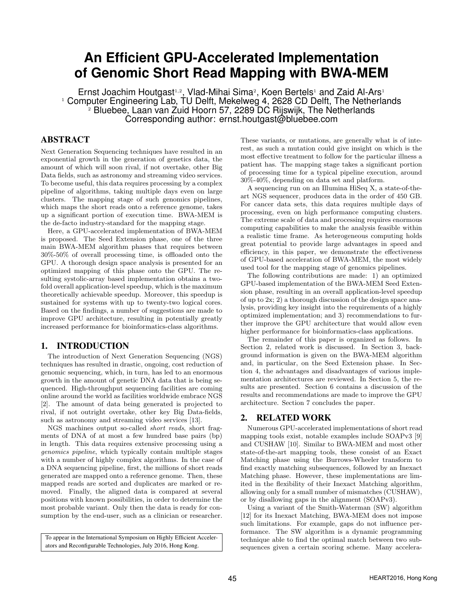# **An Efficient GPU-Accelerated Implementation of Genomic Short Read Mapping with BWA-MEM**

Ernst Joachim Houtgast<sup>1,2</sup>, Vlad-Mihai Sima<sup>2</sup>, Koen Bertels<sup>1</sup> and Zaid Al-Ars<sup>1</sup> <sup>1</sup> Computer Engineering Lab, TU Delft, Mekelweg 4, 2628 CD Delft, The Netherlands <sup>2</sup> Bluebee, Laan van Zuid Hoorn 57, 2289 DC Rijswijk, The Netherlands Corresponding author: ernst.houtgast@bluebee.com

# ABSTRACT

Next Generation Sequencing techniques have resulted in an exponential growth in the generation of genetics data, the amount of which will soon rival, if not overtake, other Big Data fields, such as astronomy and streaming video services. To become useful, this data requires processing by a complex pipeline of algorithms, taking multiple days even on large clusters. The mapping stage of such genomics pipelines, which maps the short reads onto a reference genome, takes up a significant portion of execution time. BWA-MEM is the de-facto industry-standard for the mapping stage.

Here, a GPU-accelerated implementation of BWA-MEM is proposed. The Seed Extension phase, one of the three main BWA-MEM algorithm phases that requires between 30%-50% of overall processing time, is offloaded onto the GPU. A thorough design space analysis is presented for an optimized mapping of this phase onto the GPU. The resulting systolic-array based implementation obtains a twofold overall application-level speedup, which is the maximum theoretically achievable speedup. Moreover, this speedup is sustained for systems with up to twenty-two logical cores. Based on the findings, a number of suggestions are made to improve GPU architecture, resulting in potentially greatly increased performance for bioinformatics-class algorithms.

## 1. INTRODUCTION

The introduction of Next Generation Sequencing (NGS) techniques has resulted in drastic, ongoing, cost reduction of genomic sequencing, which, in turn, has led to an enormous growth in the amount of genetic DNA data that is being sequenced. High-throughput sequencing facilities are coming online around the world as facilities worldwide embrace NGS [2]. The amount of data being generated is projected to rival, if not outright overtake, other key Big Data-fields, such as astronomy and streaming video services [13].

NGS machines output so-called short reads, short fragments of DNA of at most a few hundred base pairs (bp) in length. This data requires extensive processing using a genomics pipeline, which typically contain multiple stages with a number of highly complex algorithms. In the case of a DNA sequencing pipeline, first, the millions of short reads generated are mapped onto a reference genome. Then, these mapped reads are sorted and duplicates are marked or removed. Finally, the aligned data is compared at several positions with known possibilities, in order to determine the most probable variant. Only then the data is ready for consumption by the end-user, such as a clinician or researcher.

To appear in the International Symposium on Highly Efficient Accelerators and Reconfigurable Technologies, July 2016, Hong Kong.

These variants, or mutations, are generally what is of interest, as such a mutation could give insight on which is the most effective treatment to follow for the particular illness a patient has. The mapping stage takes a significant portion of processing time for a typical pipeline execution, around 30%-40%, depending on data set and platform.

A sequencing run on an Illumina HiSeq X, a state-of-theart NGS sequencer, produces data in the order of 450 GB. For cancer data sets, this data requires multiple days of processing, even on high performance computing clusters. The extreme scale of data and processing requires enormous computing capabilities to make the analysis feasible within a realistic time frame. As heterogeneous computing holds great potential to provide large advantages in speed and efficiency, in this paper, we demonstrate the effectiveness of GPU-based acceleration of BWA-MEM, the most widely used tool for the mapping stage of genomics pipelines.

The following contributions are made: 1) an optimized GPU-based implementation of the BWA-MEM Seed Extension phase, resulting in an overall application-level speedup of up to 2x; 2) a thorough discussion of the design space analysis, providing key insight into the requirements of a highly optimized implementation; and 3) recommendations to further improve the GPU architecture that would allow even higher performance for bioinformatics-class applications.

The remainder of this paper is organized as follows. In Section 2, related work is discussed. In Section 3, background information is given on the BWA-MEM algorithm and, in particular, on the Seed Extension phase. In Section 4, the advantages and disadvantages of various implementation architectures are reviewed. In Section 5, the results are presented. Section 6 contains a discussion of the results and recommendations are made to improve the GPU architecture. Section 7 concludes the paper.

## 2. RELATED WORK

Numerous GPU-accelerated implementations of short read mapping tools exist, notable examples include SOAPv3 [9] and CUSHAW [10]. Similar to BWA-MEM and most other state-of-the-art mapping tools, these consist of an Exact Matching phase using the Burrows-Wheeler transform to find exactly matching subsequences, followed by an Inexact Matching phase. However, these implementations are limited in the flexibility of their Inexact Matching algorithm, allowing only for a small number of mismatches (CUSHAW), or by disallowing gaps in the alignment (SOAPv3).

Using a variant of the Smith-Waterman (SW) algorithm [12] for its Inexact Matching, BWA-MEM does not impose such limitations. For example, gaps do not influence performance. The SW algorithm is a dynamic programming technique able to find the optimal match between two subsequences given a certain scoring scheme. Many accelera-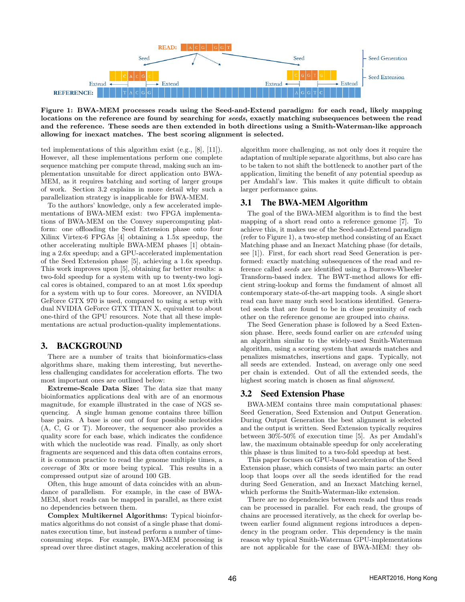

Figure 1: BWA-MEM processes reads using the Seed-and-Extend paradigm: for each read, likely mapping locations on the reference are found by searching for seeds, exactly matching subsequences between the read and the reference. These seeds are then extended in both directions using a Smith-Waterman-like approach allowing for inexact matches. The best scoring alignment is selected.

ted implementations of this algorithm exist (e.g., [8], [11]). However, all these implementations perform one complete sequence matching per compute thread, making such an implementation unsuitable for direct application onto BWA-MEM, as it requires batching and sorting of larger groups of work. Section 3.2 explains in more detail why such a parallelization strategy is inapplicable for BWA-MEM.

To the authors' knowledge, only a few accelerated implementations of BWA-MEM exist: two FPGA implementations of BWA-MEM on the Convey supercomputing platform: one offloading the Seed Extension phase onto four Xilinx Virtex-6 FPGAs [4] obtaining a 1.5x speedup, the other accelerating multiple BWA-MEM phases [1] obtaining a 2.6x speedup; and a GPU-accelerated implementation of the Seed Extension phase [5], achieving a 1.6x speedup. This work improves upon [5], obtaining far better results: a two-fold speedup for a system with up to twenty-two logical cores is obtained, compared to an at most 1.6x speedup for a system with up to four cores. Moreover, an NVIDIA GeForce GTX 970 is used, compared to using a setup with dual NVIDIA GeForce GTX TITAN X, equivalent to about one-third of the GPU resources. Note that all these implementations are actual production-quality implementations.

#### 3. BACKGROUND

There are a number of traits that bioinformatics-class algorithms share, making them interesting, but nevertheless challenging candidates for acceleration efforts. The two most important ones are outlined below:

Extreme-Scale Data Size: The data size that many bioinformatics applications deal with are of an enormous magnitude, for example illustrated in the case of NGS sequencing. A single human genome contains three billion base pairs. A base is one out of four possible nucleotides (A, C, G or T). Moreover, the sequencer also provides a quality score for each base, which indicates the confidence with which the nucleotide was read. Finally, as only short fragments are sequenced and this data often contains errors, it is common practice to read the genome multiple times, a coverage of 30x or more being typical. This results in a compressed output size of around 100 GB.

Often, this huge amount of data coincides with an abundance of parallelism. For example, in the case of BWA-MEM, short reads can be mapped in parallel, as there exist no dependencies between them.

Complex Multikernel Algorithms: Typical bioinformatics algorithms do not consist of a single phase that dominates execution time, but instead perform a number of timeconsuming steps. For example, BWA-MEM processing is spread over three distinct stages, making acceleration of this algorithm more challenging, as not only does it require the adaptation of multiple separate algorithms, but also care has to be taken to not shift the bottleneck to another part of the application, limiting the benefit of any potential speedup as per Amdahl's law. This makes it quite difficult to obtain larger performance gains.

## 3.1 The BWA-MEM Algorithm

The goal of the BWA-MEM algorithm is to find the best mapping of a short read onto a reference genome [7]. To achieve this, it makes use of the Seed-and-Extend paradigm (refer to Figure 1), a two-step method consisting of an Exact Matching phase and an Inexact Matching phase (for details, see [1]). First, for each short read Seed Generation is performed: exactly matching subsequences of the read and reference called seeds are identified using a Burrows-Wheeler Transform-based index. The BWT-method allows for efficient string-lookup and forms the fundament of almost all contemporary state-of-the-art mapping tools. A single short read can have many such seed locations identified. Generated seeds that are found to be in close proximity of each other on the reference genome are grouped into chains.

The Seed Generation phase is followed by a Seed Extension phase. Here, seeds found earlier on are extended using an algorithm similar to the widely-used Smith-Waterman algorithm, using a scoring system that awards matches and penalizes mismatches, insertions and gaps. Typically, not all seeds are extended. Instead, on average only one seed per chain is extended. Out of all the extended seeds, the highest scoring match is chosen as final alignment.

#### 3.2 Seed Extension Phase

BWA-MEM contains three main computational phases: Seed Generation, Seed Extension and Output Generation. During Output Generation the best alignment is selected and the output is written. Seed Extension typically requires between 30%-50% of execution time [5]. As per Amdahl's law, the maximum obtainable speedup for only accelerating this phase is thus limited to a two-fold speedup at best.

This paper focuses on GPU-based acceleration of the Seed Extension phase, which consists of two main parts: an outer loop that loops over all the seeds identified for the read during Seed Generation, and an Inexact Matching kernel, which performs the Smith-Waterman-like extension.

There are no dependencies between reads and thus reads can be processed in parallel. For each read, the groups of chains are processed iteratively, as the check for overlap between earlier found alignment regions introduces a dependency in the program order. This dependency is the main reason why typical Smith-Waterman GPU-implementations are not applicable for the case of BWA-MEM: they ob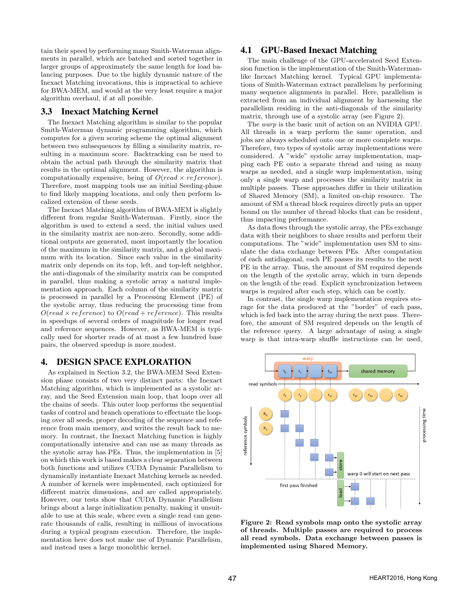tain their speed by performing many Smith-Waterman alignments in parallel, which are batched and sorted together in larger groups of approximately the same length for load balancing purposes. Due to the highly dynamic nature of the Inexact Matching invocations, this is impractical to achieve for BWA-MEM, and would at the very least require a major algorithm overhaul, if at all possible.

## 3.3 Inexact Matching Kernel

The Inexact Matching algorithm is similar to the popular Smith-Waterman dynamic programming algorithm, which computes for a given scoring scheme the optimal alignment between two subsequences by filling a similarity matrix, resulting in a maximum score. Backtracking can be used to obtain the actual path through the similarity matrix that results in the optimal alignment. However, the algorithm is computationally expensive, being of  $O(read \times reference)$ . Therefore, most mapping tools use an initial Seeding-phase to find likely mapping locations, and only then perform localized extension of these seeds.

The Inexact Matching algorithm of BWA-MEM is slightly different from regular Smith-Waterman. Firstly, since the algorithm is used to extend a seed, the initial values used in the similarity matrix are non-zero. Secondly, some additional outputs are generated, most importantly the location of the maximum in the similarity matrix, and a global maximum with its location. Since each value in the similarity matrix only depends on its top, left, and top-left neighbor, the anti-diagonals of the similarity matrix can be computed in parallel, thus making a systolic array a natural implementation approach. Each column of the similarity matrix is processed in parallel by a Processing Element (PE) of the systolic array, thus reducing the processing time from  $O(read \times reference)$  to  $O(read + reference)$ . This results in speedups of several orders of magnitude for longer read and reference sequences. However, as BWA-MEM is typically used for shorter reads of at most a few hundred base pairs, the observed speedup is more modest.

## 4. DESIGN SPACE EXPLORATION

As explained in Section 3.2, the BWA-MEM Seed Extension phase consists of two very distinct parts: the Inexact Matching algorithm, which is implemented as a systolic array, and the Seed Extension main loop, that loops over all the chains of seeds. This outer loop performs the sequential tasks of control and branch operations to effectuate the looping over all seeds, proper decoding of the sequence and reference from main memory, and writes the result back to memory. In contrast, the Inexact Matching function is highly computationally intensive and can use as many threads as the systolic array has PEs. Thus, the implementation in [5] on which this work is based makes a clear separation between both functions and utilizes CUDA Dynamic Parallelism to dynamically instantiate Inexact Matching kernels as needed. A number of kernels were implemented, each optimized for different matrix dimensions, and are called appropriately. However, our tests show that CUDA Dynamic Parallelism brings about a large initialization penalty, making it unsuitable to use at this scale, where even a single read can generate thousands of calls, resulting in millions of invocations during a typical program execution. Therefore, the implementation here does not make use of Dynamic Parallelism, and instead uses a large monolithic kernel.

## 4.1 GPU-Based Inexact Matching

The main challenge of the GPU-accelerated Seed Extension function is the implementation of the Smith-Watermanlike Inexact Matching kernel. Typical GPU implementations of Smith-Waterman extract parallelism by performing many sequence alignments in parallel. Here, parallelism is extracted from an individual alignment by harnessing the parallelism residing in the anti-diagonals of the similarity matrix, through use of a systolic array (see Figure 2).

The warp is the basic unit of action on an NVIDIA GPU. All threads in a warp perform the same operation, and jobs are always scheduled onto one or more complete warps. Therefore, two types of systolic array implementations were considered. A "wide" systolic array implementation, mapping each PE onto a separate thread and using as many warps as needed, and a single warp implementation, using only a single warp and processes the similarity matrix in multiple passes. These approaches differ in their utilization of Shared Memory (SM), a limited on-chip resource. The amount of SM a thread block requires directly puts an upper bound on the number of thread blocks that can be resident, thus impacting performance.

As data flows through the systolic array, the PEs exchange data with their neighbors to share results and perform their computations. The "wide" implementation uses SM to simulate the data exchange between PEs. After computation of each antidiagonal, each PE passes its results to the next PE in the array. Thus, the amount of SM required depends on the length of the systolic array, which in turn depends on the length of the read. Explicit synchronization between warps is required after each step, which can be costly.

In contrast, the single warp implementation requires storage for the data produced at the "border" of each pass, which is fed back into the array during the next pass. Therefore, the amount of SM required depends on the length of the reference query. A large advantage of using a single warp is that intra-warp shuffle instructions can be used,



Figure 2: Read symbols map onto the systolic array of threads. Multiple passes are required to process all read symbols. Data exchange between passes is implemented using Shared Memory.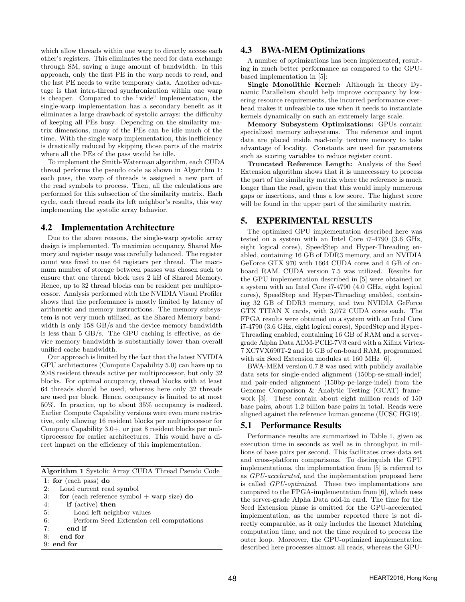which allow threads within one warp to directly access each other's registers. This eliminates the need for data exchange through SM, saving a huge amount of bandwidth. In this approach, only the first PE in the warp needs to read, and the last PE needs to write temporary data. Another advantage is that intra-thread synchronization within one warp is cheaper. Compared to the "wide" implementation, the single-warp implementation has a secondary benefit as it eliminates a large drawback of systolic arrays: the difficulty of keeping all PEs busy. Depending on the similarity matrix dimensions, many of the PEs can be idle much of the time. With the single warp implementation, this inefficiency is drastically reduced by skipping those parts of the matrix where all the PEs of the pass would be idle.

To implement the Smith-Waterman algorithm, each CUDA thread performs the pseudo code as shown in Algorithm 1: each pass, the warp of threads is assigned a new part of the read symbols to process. Then, all the calculations are performed for this subsection of the similarity matrix. Each cycle, each thread reads its left neighbor's results, this way implementing the systolic array behavior.

#### 4.2 Implementation Architecture

Due to the above reasons, the single-warp systolic array design is implemented. To maximize occupancy, Shared Memory and register usage was carefully balanced. The register count was fixed to use 64 registers per thread. The maximum number of storage between passes was chosen such to ensure that one thread block uses 2 kB of Shared Memory. Hence, up to 32 thread blocks can be resident per multiprocessor. Analysis performed with the NVIDIA Visual Profiler shows that the performance is mostly limited by latency of arithmetic and memory instructions. The memory subsystem is not very much utilized, as the Shared Memory bandwidth is only 158 GB/s and the device memory bandwidth is less than 5 GB/s. The GPU caching is effective, as device memory bandwidth is substantially lower than overall unified cache bandwidth.

Our approach is limited by the fact that the latest NVIDIA GPU architectures (Compute Capability 5.0) can have up to 2048 resident threads active per multiprocessor, but only 32 blocks. For optimal occupancy, thread blocks with at least 64 threads should be used, whereas here only 32 threads are used per block. Hence, occupancy is limited to at most 50%. In practice, up to about 35% occupancy is realized. Earlier Compute Capability versions were even more restrictive, only allowing 16 resident blocks per multiprocessor for Compute Capability 3.0+, or just 8 resident blocks per multiprocessor for earlier architectures. This would have a direct impact on the efficiency of this implementation.

Algorithm 1 Systolic Array CUDA Thread Pseudo Code

|  |  | 1: for (each pass) $d\mathbf{o}$ |  |  |
|--|--|----------------------------------|--|--|
|--|--|----------------------------------|--|--|

- 2: Load current read symbol
- 3: for (each reference symbol  $+$  warp size) do

4: if (active) then

- 5: Load left neighbor values
- 6: Perform Seed Extension cell computations
- 7: end if
- 8: end for
- 9: end for

### 4.3 BWA-MEM Optimizations

A number of optimizations has been implemented, resulting in much better performance as compared to the GPUbased implementation in [5]:

Single Monolithic Kernel: Although in theory Dynamic Parallelism should help improve occupancy by lowering resource requirements, the incurred performance overhead makes it unfeasible to use when it needs to instantiate kernels dynamically on such an extremely large scale.

Memory Subsystem Optimizations: GPUs contain specialized memory subsystems. The reference and input data are placed inside read-only texture memory to take advantage of locality. Constants are used for parameters such as scoring variables to reduce register count.

Truncated Reference Length: Analysis of the Seed Extension algorithm shows that it is unnecessary to process the part of the similarity matrix where the reference is much longer than the read, given that this would imply numerous gaps or insertions, and thus a low score. The highest score will be found in the upper part of the similarity matrix.

## 5. EXPERIMENTAL RESULTS

The optimized GPU implementation described here was tested on a system with an Intel Core i7-4790 (3.6 GHz, eight logical cores), SpeedStep and Hyper-Threading enabled, containing 16 GB of DDR3 memory, and an NVIDIA GeForce GTX 970 with 1664 CUDA cores and 4 GB of onboard RAM. CUDA version 7.5 was utilized. Results for the GPU implementation described in [5] were obtained on a system with an Intel Core i7-4790 (4.0 GHz, eight logical cores), SpeedStep and Hyper-Threading enabled, containing 32 GB of DDR3 memory, and two NVIDIA GeForce GTX TITAN X cards, with 3,072 CUDA cores each. The FPGA results were obtained on a system with an Intel Core i7-4790 (3.6 GHz, eight logical cores), SpeedStep and Hyper-Threading enabled, containing 16 GB of RAM and a servergrade Alpha Data ADM-PCIE-7V3 card with a Xilinx Virtex-7 XC7VX690T-2 and 16 GB of on-board RAM, programmed with six Seed Extension modules at 160 MHz [6].

BWA-MEM version 0.7.8 was used with publicly available data sets for single-ended alignment (150bp-se-small-indel) and pair-ended alignment (150bp-pe-large-indel) from the Genome Comparison & Analytic Testing (GCAT) framework [3]. These contain about eight million reads of 150 base pairs, about 1.2 billion base pairs in total. Reads were aligned against the reference human genome (UCSC HG19).

## 5.1 Performance Results

Performance results are summarized in Table 1, given as execution time in seconds as well as in throughput in millions of base pairs per second. This facilitates cross-data set and cross-platform comparisons. To distinguish the GPU implementations, the implementation from [5] is referred to as GPU-accelerated, and the implementation proposed here is called GPU-optimized. These two implementations are compared to the FPGA-implementation from [6], which uses the server-grade Alpha Data add-in card. The time for the Seed Extension phase is omitted for the GPU-accelerated implementation, as the number reported there is not directly comparable, as it only includes the Inexact Matching computation time, and not the time required to process the outer loop. Moreover, the GPU-optimized implementation described here processes almost all reads, whereas the GPU-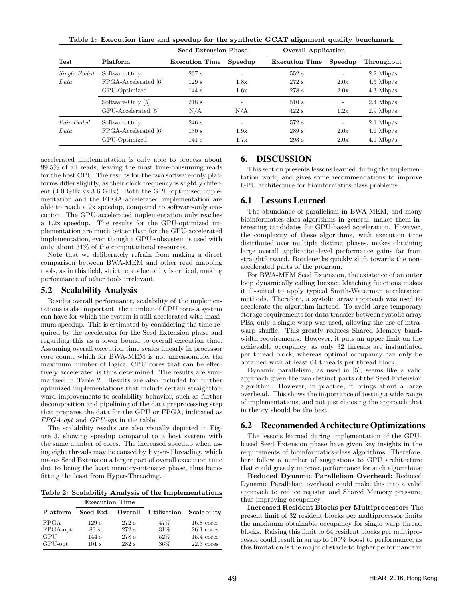|                | Platform             | Seed Extension Phase  |                          | <b>Overall Application</b> |                          |                     |
|----------------|----------------------|-----------------------|--------------------------|----------------------------|--------------------------|---------------------|
| <b>Test</b>    |                      | <b>Execution Time</b> | Speedup                  | <b>Execution Time</b>      | Speedup                  | Throughput          |
| $Single-Ended$ | Software-Only        | 237 s                 | $\overline{\phantom{0}}$ | 552s                       | $\overline{\phantom{a}}$ | $2.2 \text{ Mbp/s}$ |
| Data           | FPGA-Accelerated [6] | 129s                  | 1.8x                     | 272s                       | 2.0x                     | $4.5 \text{ Mbp/s}$ |
|                | GPU-Optimized        | 144s                  | 1.6x                     | 278 s                      | 2.0x                     | $4.3 \text{ Mbp/s}$ |
|                | Software-Only [5]    | 218s                  |                          | 510s                       |                          | $2.4 \text{ Mbp/s}$ |
|                | GPU-Accelerated [5]  | N/A                   | N/A                      | 422s                       | 1.2x                     | $2.9 \text{ Mbp/s}$ |
| Pair-Ended     | Software-Only        | 246s                  | $\overline{\phantom{0}}$ | 572s                       | $\overline{\phantom{a}}$ | $2.1 \text{ Mbp/s}$ |
| Data           | FPGA-Accelerated [6] | 130 s                 | 1.9x                     | 289s                       | 2.0x                     | $4.1 \text{ Mbp/s}$ |
|                | GPU-Optimized        | 141 s                 | 1.7x                     | 293 s                      | 2.0x                     | $4.1 \text{ Mbp/s}$ |

Table 1: Execution time and speedup for the synthetic GCAT alignment quality benchmark

accelerated implementation is only able to process about 99.5% of all reads, leaving the most time-consuming reads for the host CPU. The results for the two software-only platforms differ slightly, as their clock frequency is slightly different (4.0 GHz vs 3.6 GHz). Both the GPU-optimized implementation and the FPGA-accelerated implementation are able to reach a 2x speedup, compared to software-only execution. The GPU-accelerated implementation only reaches a 1.2x speedup. The results for the GPU-optimized implementation are much better than for the GPU-accelerated implementation, even though a GPU-subsystem is used with only about 31% of the computational resources.

Note that we deliberately refrain from making a direct comparison between BWA-MEM and other read mapping tools, as in this field, strict reproducibility is critical, making performance of other tools irrelevant.

#### 5.2 Scalability Analysis

Besides overall performance, scalability of the implementations is also important: the number of CPU cores a system can have for which the system is still accelerated with maximum speedup. This is estimated by considering the time required by the accelerator for the Seed Extension phase and regarding this as a lower bound to overall execution time. Assuming overall execution time scales linearly in processor core count, which for BWA-MEM is not unreasonable, the maximum number of logical CPU cores that can be effectively accelerated is thus determined. The results are summarized in Table 2. Results are also included for further optimized implementations that include certain straightforward improvements to scalability behavior, such as further decomposition and pipelining of the data preprocessing step that prepares the data for the GPU or FPGA, indicated as FPGA-opt and GPU-opt in the table.

The scalability results are also visually depicted in Figure 3, showing speedup compared to a host system with the same number of cores. The increased speedup when using eight threads may be caused by Hyper-Threading, which makes Seed Extension a larger part of overall execution time due to being the least memory-intensive phase, thus benefitting the least from Hyper-Threading.

Table 2: Scalability Analysis of the Implementations

|             | <b>Execution Time</b> |       |                     |                      |
|-------------|-----------------------|-------|---------------------|----------------------|
| Platform    | Seed Ext.             |       | Overall Utilization | Scalability          |
| <b>FPGA</b> | 129s                  | 272 s | 47%                 | $16.8 \text{ cores}$ |
| FPGA-opt    | 83s                   | 272 s | 31\%                | $26.1 \text{ cores}$ |
| GPU         | 144s                  | 278 s | $52\%$              | $15.4 \text{ cores}$ |
| GPU-opt     | 101 s                 | 282s  | 36%                 | $22.3 \text{ cores}$ |

#### 6. DISCUSSION

This section presents lessons learned during the implementation work, and gives some recommendations to improve GPU architecture for bioinformatics-class problems.

#### 6.1 Lessons Learned

The abundance of parallelism in BWA-MEM, and many bioinformatics-class algorithms in general, makes them interesting candidates for GPU-based acceleration. However, the complexity of these algorithms, with execution time distributed over multiple distinct phases, makes obtaining large overall application-level performance gains far from straightforward. Bottlenecks quickly shift towards the nonaccelerated parts of the program.

For BWA-MEM Seed Extension, the existence of an outer loop dynamically calling Inexact Matching functions makes it ill-suited to apply typical Smith-Waterman acceleration methods. Therefore, a systolic array approach was used to accelerate the algorithm instead. To avoid large temporary storage requirements for data transfer between systolic array PEs, only a single warp was used, allowing the use of intrawarp shuffle. This greatly reduces Shared Memory bandwidth requirements. However, it puts an upper limit on the achievable occupancy, as only 32 threads are instantiated per thread block, whereas optimal occupancy can only be obtained with at least 64 threads per thread block.

Dynamic parallelism, as used in [5], seems like a valid approach given the two distinct parts of the Seed Extension algorithm. However, in practice, it brings about a large overhead. This shows the importance of testing a wide range of implementations, and not just choosing the approach that in theory should be the best.

## 6.2 Recommended Architecture Optimizations

The lessons learned during implementation of the GPUbased Seed Extension phase have given key insights in the requirements of bioinformatics-class algorithms. Therefore, here follow a number of suggestions to GPU architecture that could greatly improve performance for such algorithms:

Reduced Dynamic Parallelism Overhead: Reduced Dynamic Parallelism overhead could make this into a valid approach to reduce register and Shared Memory pressure, thus improving occupancy.

Increased Resident Blocks per Multiprocessor: The present limit of 32 resident blocks per multiprocessor limits the maximum obtainable occupancy for single warp thread blocks. Raising this limit to 64 resident blocks per multiprocessor could result in an up to 100% boost to performance, as this limitation is the major obstacle to higher performance in